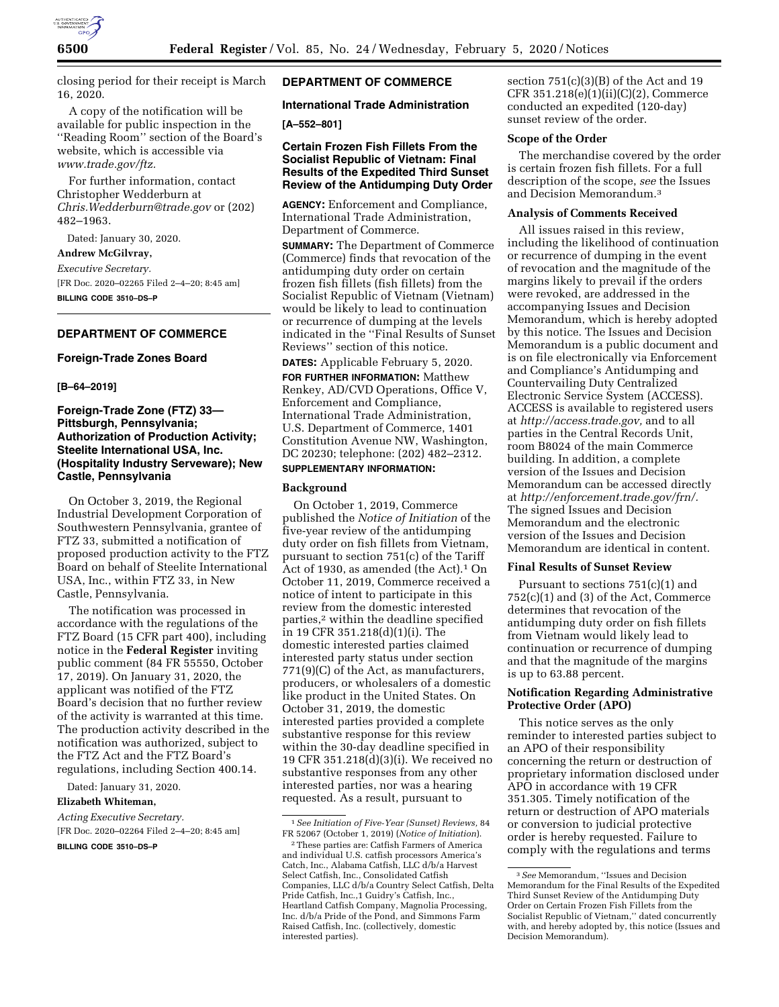

closing period for their receipt is March 16, 2020.

A copy of the notification will be available for public inspection in the ''Reading Room'' section of the Board's website, which is accessible via *[www.trade.gov/ftz.](http://www.trade.gov/ftz)* 

For further information, contact Christopher Wedderburn at *[Chris.Wedderburn@trade.gov](mailto:Chris.Wedderburn@trade.gov)* or (202) 482–1963.

Dated: January 30, 2020.

# **Andrew McGilvray,**

*Executive Secretary.*  [FR Doc. 2020–02265 Filed 2–4–20; 8:45 am] **BILLING CODE 3510–DS–P** 

# **DEPARTMENT OF COMMERCE**

## **Foreign-Trade Zones Board**

**[B–64–2019]** 

# **Foreign-Trade Zone (FTZ) 33— Pittsburgh, Pennsylvania; Authorization of Production Activity; Steelite International USA, Inc. (Hospitality Industry Serveware); New Castle, Pennsylvania**

On October 3, 2019, the Regional Industrial Development Corporation of Southwestern Pennsylvania, grantee of FTZ 33, submitted a notification of proposed production activity to the FTZ Board on behalf of Steelite International USA, Inc., within FTZ 33, in New Castle, Pennsylvania.

The notification was processed in accordance with the regulations of the FTZ Board (15 CFR part 400), including notice in the **Federal Register** inviting public comment (84 FR 55550, October 17, 2019). On January 31, 2020, the applicant was notified of the FTZ Board's decision that no further review of the activity is warranted at this time. The production activity described in the notification was authorized, subject to the FTZ Act and the FTZ Board's regulations, including Section 400.14.

Dated: January 31, 2020.

# **Elizabeth Whiteman,**

*Acting Executive Secretary.* 

[FR Doc. 2020–02264 Filed 2–4–20; 8:45 am]

**BILLING CODE 3510–DS–P** 

# **DEPARTMENT OF COMMERCE**

**International Trade Administration** 

# **[A–552–801]**

# **Certain Frozen Fish Fillets From the Socialist Republic of Vietnam: Final Results of the Expedited Third Sunset Review of the Antidumping Duty Order**

**AGENCY:** Enforcement and Compliance, International Trade Administration, Department of Commerce.

**SUMMARY:** The Department of Commerce (Commerce) finds that revocation of the antidumping duty order on certain frozen fish fillets (fish fillets) from the Socialist Republic of Vietnam (Vietnam) would be likely to lead to continuation or recurrence of dumping at the levels indicated in the ''Final Results of Sunset Reviews'' section of this notice.

**DATES:** Applicable February 5, 2020.

**FOR FURTHER INFORMATION:** Matthew Renkey, AD/CVD Operations, Office V, Enforcement and Compliance, International Trade Administration, U.S. Department of Commerce, 1401 Constitution Avenue NW, Washington, DC 20230; telephone: (202) 482–2312. **SUPPLEMENTARY INFORMATION:** 

# **Background**

On October 1, 2019, Commerce published the *Notice of Initiation* of the five-year review of the antidumping duty order on fish fillets from Vietnam, pursuant to section 751(c) of the Tariff Act of 1930, as amended (the Act).<sup>1</sup> On October 11, 2019, Commerce received a notice of intent to participate in this review from the domestic interested parties,2 within the deadline specified in 19 CFR 351.218(d)(1)(i). The domestic interested parties claimed interested party status under section 771(9)(C) of the Act, as manufacturers, producers, or wholesalers of a domestic like product in the United States. On October 31, 2019, the domestic interested parties provided a complete substantive response for this review within the 30-day deadline specified in 19 CFR 351.218(d)(3)(i). We received no substantive responses from any other interested parties, nor was a hearing requested. As a result, pursuant to

section 751(c)(3)(B) of the Act and 19 CFR 351.218(e)(1)(ii)(C)(2), Commerce conducted an expedited (120-day) sunset review of the order.

## **Scope of the Order**

The merchandise covered by the order is certain frozen fish fillets. For a full description of the scope, *see* the Issues and Decision Memorandum.3

#### **Analysis of Comments Received**

All issues raised in this review, including the likelihood of continuation or recurrence of dumping in the event of revocation and the magnitude of the margins likely to prevail if the orders were revoked, are addressed in the accompanying Issues and Decision Memorandum, which is hereby adopted by this notice. The Issues and Decision Memorandum is a public document and is on file electronically via Enforcement and Compliance's Antidumping and Countervailing Duty Centralized Electronic Service System (ACCESS). ACCESS is available to registered users at *[http://access.trade.gov,](http://access.trade.gov)* and to all parties in the Central Records Unit, room B8024 of the main Commerce building. In addition, a complete version of the Issues and Decision Memorandum can be accessed directly at *[http://enforcement.trade.gov/frn/.](http://enforcement.trade.gov/frn/)*  The signed Issues and Decision Memorandum and the electronic version of the Issues and Decision Memorandum are identical in content.

# **Final Results of Sunset Review**

Pursuant to sections 751(c)(1) and 752(c)(1) and (3) of the Act, Commerce determines that revocation of the antidumping duty order on fish fillets from Vietnam would likely lead to continuation or recurrence of dumping and that the magnitude of the margins is up to 63.88 percent.

# **Notification Regarding Administrative Protective Order (APO)**

This notice serves as the only reminder to interested parties subject to an APO of their responsibility concerning the return or destruction of proprietary information disclosed under APO in accordance with 19 CFR 351.305. Timely notification of the return or destruction of APO materials or conversion to judicial protective order is hereby requested. Failure to comply with the regulations and terms

<sup>1</sup>*See Initiation of Five-Year (Sunset) Reviews,* 84 FR 52067 (October 1, 2019) (*Notice of Initiation*).

<sup>2</sup>These parties are: Catfish Farmers of America and individual U.S. catfish processors America's Catch, Inc., Alabama Catfish, LLC d/b/a Harvest Select Catfish, Inc., Consolidated Catfish Companies, LLC d/b/a Country Select Catfish, Delta Pride Catfish, Inc.,1 Guidry's Catfish, Inc., Heartland Catfish Company, Magnolia Processing, Inc. d/b/a Pride of the Pond, and Simmons Farm Raised Catfish, Inc. (collectively, domestic interested parties).

<sup>3</sup>*See* Memorandum, ''Issues and Decision Memorandum for the Final Results of the Expedited Third Sunset Review of the Antidumping Duty Order on Certain Frozen Fish Fillets from the Socialist Republic of Vietnam,'' dated concurrently with, and hereby adopted by, this notice (Issues and Decision Memorandum).